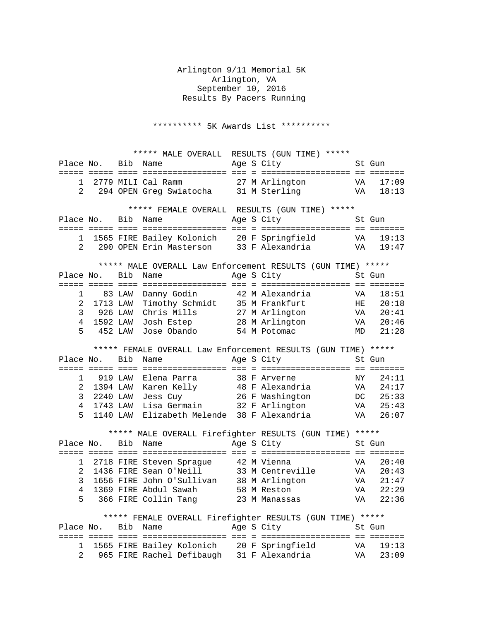Arlington 9/11 Memorial 5K Arlington, VA September 10, 2016 Results By Pacers Running

\*\*\*\*\*\*\*\*\*\* 5K Awards List \*\*\*\*\*\*\*\*\*\*

|                                                             | ***** MALE OVERALL RESULTS (GUN TIME) ***** |         |                                                                                         |  |  |                                                               |          |                |  |
|-------------------------------------------------------------|---------------------------------------------|---------|-----------------------------------------------------------------------------------------|--|--|---------------------------------------------------------------|----------|----------------|--|
| Place No.                                                   |                                             | Bib     | Name                                                                                    |  |  | Age S City                                                    |          | St Gun         |  |
|                                                             |                                             |         |                                                                                         |  |  |                                                               |          |                |  |
| 1                                                           |                                             |         | 2779 MILI Cal Ramm                                                                      |  |  | 27 M Arlington                                                | VA       | 17:09          |  |
| $\overline{2}$                                              |                                             |         | 294 OPEN Greg Swiatocha 31 M Sterling                                                   |  |  | VA                                                            |          | 18:13          |  |
|                                                             |                                             |         |                                                                                         |  |  |                                                               |          |                |  |
| ***** FEMALE OVERALL RESULTS (GUN TIME) *****               |                                             |         |                                                                                         |  |  |                                                               |          |                |  |
| Place No.                                                   |                                             | Bib     | Name                                                                                    |  |  | Age S City                                                    |          | St Gun         |  |
|                                                             |                                             |         |                                                                                         |  |  |                                                               |          |                |  |
| $\mathbf{1}$                                                |                                             |         | 1565 FIRE Bailey Kolonich 20 F Springfield<br>290 OPEN Erin Masterson 33 F Alexandria   |  |  | VA<br>VA                                                      |          | 19:13          |  |
| $\overline{2}$                                              |                                             |         |                                                                                         |  |  |                                                               |          | 19:47          |  |
|                                                             |                                             |         |                                                                                         |  |  |                                                               |          |                |  |
| ***** MALE OVERALL Law Enforcement RESULTS (GUN TIME) ***** |                                             |         |                                                                                         |  |  |                                                               |          |                |  |
|                                                             | Place No.                                   | Bib     | Name                                                                                    |  |  | Age S City                                                    |          | St Gun         |  |
|                                                             |                                             |         |                                                                                         |  |  |                                                               |          |                |  |
| 1                                                           |                                             | 83 LAW  | Danny Godin                                                                             |  |  | 42 M Alexandria                                               | VA       | 18:51          |  |
| 2                                                           | 1713 LAW                                    |         | Timothy Schmidt                                                                         |  |  | 35 M Frankfurt                                                | HE       | 20:18          |  |
| 3                                                           | 926 LAW                                     |         | Chris Mills                                                                             |  |  | 27 M Arlington                                                | VA       | 20:41          |  |
| 4                                                           | 1592 LAW                                    |         | Josh Estep 28 M Arlington                                                               |  |  | <b>VA</b>                                                     |          | 20:46          |  |
| 5                                                           | 452 LAW                                     |         | Jose Obando                                                                             |  |  | 54 M Potomac                                                  | MD       | 21:28          |  |
|                                                             |                                             |         |                                                                                         |  |  |                                                               |          |                |  |
|                                                             |                                             |         |                                                                                         |  |  | ***** FEMALE OVERALL Law Enforcement RESULTS (GUN TIME) ***** |          |                |  |
| Place No.                                                   |                                             | Bib     | Name                                                                                    |  |  | Age S City                                                    |          | St Gun         |  |
|                                                             |                                             |         |                                                                                         |  |  |                                                               |          |                |  |
|                                                             |                                             |         |                                                                                         |  |  |                                                               |          |                |  |
| 1                                                           |                                             | 919 LAW | Elena Parra                                                                             |  |  | 38 F Arverne                                                  | NY       | 24:11          |  |
| 2                                                           | 1394 LAW                                    |         | Karen Kelly 18 F Alexandria                                                             |  |  |                                                               | VA       | 24:17          |  |
| 3                                                           | 2240 LAW                                    |         | Jess Cuy                                                                                |  |  | 26 F Washington                                               | DC       | 25:33          |  |
| $\overline{4}$                                              | 1743 LAW                                    |         | Lisa Germain 32 F Arlington                                                             |  |  |                                                               |          | 25:43          |  |
| 5                                                           | 1140 LAW                                    |         | Elizabeth Melende 38 F Alexandria                                                       |  |  |                                                               | VA<br>VA | 26:07          |  |
|                                                             |                                             |         |                                                                                         |  |  |                                                               |          |                |  |
|                                                             |                                             |         |                                                                                         |  |  | ***** MALE OVERALL Firefighter RESULTS (GUN TIME) *****       |          |                |  |
| Place No.                                                   |                                             | Bib     | Name                                                                                    |  |  | Age S City                                                    |          | St Gun         |  |
|                                                             |                                             |         |                                                                                         |  |  |                                                               |          |                |  |
| 1                                                           |                                             |         | 2718 FIRE Steven Sprague 42 M Vienna                                                    |  |  |                                                               | VA       | 20:40          |  |
| 2                                                           |                                             |         | 1436 FIRE Sean O'Neill                                                                  |  |  | 33 M Centreville                                              | VA       | 20:43          |  |
| 3                                                           |                                             |         | 1656 FIRE John O'Sullivan 38 M Arlington                                                |  |  |                                                               | VA       | 21:47          |  |
| 4                                                           |                                             |         | 1369 FIRE Abdul Sawah                                                                   |  |  | 58 M Reston                                                   | VA       | 22:29          |  |
| 5                                                           |                                             |         | 366 FIRE Collin Tang                                                                    |  |  |                                                               | VA       | 22:36          |  |
|                                                             |                                             |         |                                                                                         |  |  | 23 M Manassas                                                 |          |                |  |
|                                                             |                                             |         |                                                                                         |  |  | ***** FEMALE OVERALL Firefighter RESULTS (GUN TIME) *****     |          |                |  |
|                                                             | Place No. Bib Name                          |         |                                                                                         |  |  | Age S City                                                    |          | St Gun         |  |
|                                                             |                                             |         |                                                                                         |  |  |                                                               |          |                |  |
| 1<br>$\overline{2}$                                         |                                             |         | 1565 FIRE Bailey Kolonich 20 F Springfield<br>965 FIRE Rachel Defibaugh 31 F Alexandria |  |  |                                                               | VA<br>VA | 19:13<br>23:09 |  |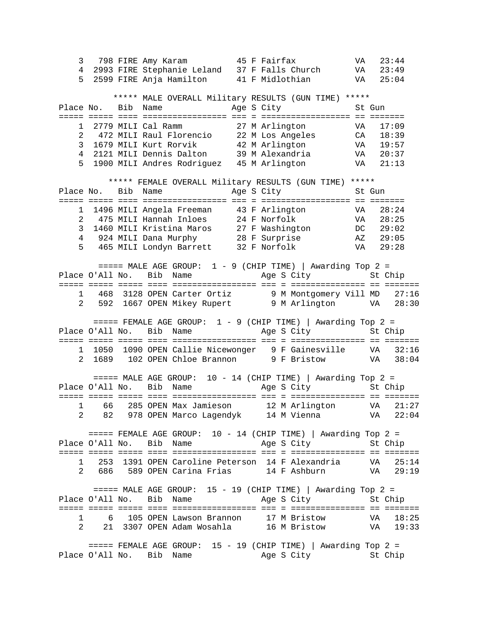3 798 FIRE Amy Karam 45 F Fairfax VA 23:44 4 2993 FIRE Stephanie Leland 37 F Falls Church VA 23:49 5 2599 FIRE Anja Hamilton 41 F Midlothian VA 25:04 \*\*\*\*\* MALE OVERALL Military RESULTS (GUN TIME) \*\*\*\*\* Place No. Bib Name Age S City St Gun ===== ===== ==== ================= === = ================== == ======= 1 2779 MILI Cal Ramm 27 M Arlington VA 17:09 2 472 MILI Raul Florencio 22 M Los Angeles CA 18:39 3 1679 MILI Kurt Rorvik 42 M Arlington VA 19:57 4 2121 MILI Dennis Dalton 39 M Alexandria VA 20:37 5 1900 MILI Andres Rodriguez 45 M Arlington VA 21:13 \*\*\*\*\* FEMALE OVERALL Military RESULTS (GUN TIME) \*\*\*\*\* Place No. Bib Name Age S City St Gun ===== ===== ==== ================= === = ================== == ======= 1 1496 MILI Angela Freeman 43 F Arlington VA 28:24 2 475 MILI Hannah Inloes 24 F Norfolk VA 28:25 3 1460 MILI Kristina Maros 27 F Washington DC 29:02 4 924 MILI Dana Murphy 28 F Surprise AZ 29:05 5 465 MILI Londyn Barrett 32 F Norfolk VA 29:28 ====== MALE AGE GROUP: 1 - 9 (CHIP TIME) | Awarding Top 2 =<br>Place O'All No. Bib Name Mage S City St C Age S City St Chip ===== ===== ===== ==== ================= === = =============== == ======= 1 468 3128 OPEN Carter Ortiz 9 M Montgomery Vill MD 27:16 2 592 1667 OPEN Mikey Rupert 9 M Arlington VA 28:30  $====$  FEMALE AGE GROUP:  $1 - 9$  (CHIP TIME) | Awarding Top 2 = Place O'All No. Bib Name Age S City St Chip ===== ===== ===== ==== ================= === = =============== == ======= 1 1050 1090 OPEN Callie Nicewonger 9 F Gainesville VA 32:16<br>2 1689 102 OPEN Chloe Brannon 9 F Bristow VA 38:04 2 1689 102 OPEN Chloe Brannon 9 F Bristow  $====$  MALE AGE GROUP: 10 - 14 (CHIP TIME) | Awarding Top 2 = Place O'All No. Bib Name Age S City St Chip ===== ===== ===== ==== ================= === = =============== == ======= 1 66 285 OPEN Max Jamieson 12 M Arlington VA 21:27 2 82 978 OPEN Marco Lagendyk 14 M Vienna VA 22:04 ===== FEMALE AGE GROUP: 10 - 14 (CHIP TIME) | Awarding Top 2 =<br>0'All No. Bib Name Age S City St Chip Place O'All No. Bib Name ===== ===== ===== ==== ================= === = =============== == ======= 1 253 1391 OPEN Caroline Peterson 14 F Alexandria VA 25:14 2 686 589 OPEN Carina Frias 14 F Ashburn VA 29:19  $====$  MALE AGE GROUP: 15 - 19 (CHIP TIME) | Awarding Top 2 = Place O'All No. Bib Name Age S City St Chip ===== ===== ===== ==== ================= === = =============== == ======= 1 6 105 OPEN Lawson Brannon 17 M Bristow VA 18:25 2 21 3307 OPEN Adam Wosahla 16 M Bristow VA 19:33 ===== FEMALE AGE GROUP: 15 - 19 (CHIP TIME) | Awarding Top 2 =<br>0'All No. Bib Name Age S City St Chip Place O'All No. Bib Name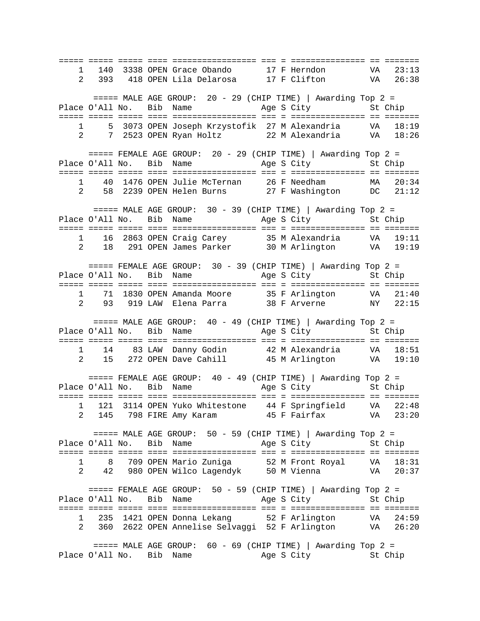===== ===== ===== ==== ================= === = =============== == ======= 1 140 3338 OPEN Grace Obando 17 F Herndon VA 23:13 2 393 418 OPEN Lila Delarosa 17 F Clifton VA 26:38  $====$  MALE AGE GROUP: 20 - 29 (CHIP TIME) | Awarding Top 2 = Place O'All No. Bib Name Age S City St Chip ===== ===== ===== ==== ================= === = =============== == ======= 1 5 3073 OPEN Joseph Krzystofik 27 M Alexandria VA 18:19 2 7 2523 OPEN Ryan Holtz 22 M Alexandria VA 18:26 ===== FEMALE AGE GROUP: 20 - 29 (CHIP TIME) | Awarding Top 2 =<br>0'All No. Bib Name Age S City St Chip Place O'All No. Bib Name ===== ===== ===== ==== ================= === = =============== == ======= 1 40 1476 OPEN Julie McTernan 26 F Needham MA 20:34 2 58 2239 OPEN Helen Burns 27 F Washington DC 21:12 ===== MALE AGE GROUP: 30 - 39 (CHIP TIME) | Awarding Top 2 = Place O'All No. Bib Name Age S City St Chip ===== ===== ===== ==== ================= === = =============== == ======= 1 16 2863 OPEN Craig Carey 35 M Alexandria VA 19:11 2 18 291 OPEN James Parker 30 M Arlington VA 19:19 ===== FEMALE AGE GROUP: 30 - 39 (CHIP TIME) | Awarding Top 2 =<br>0'All No. Bib Name Age S City 5t Chip Place O'All No. Bib Name ===== ===== ===== ==== ================= === = =============== == ======= 1 71 1830 OPEN Amanda Moore 35 F Arlington VA 21:40 2 93 919 LAW Elena Parra 38 F Arverne NY 22:15  $====$  MALE AGE GROUP:  $40 - 49$  (CHIP TIME) | Awarding Top 2 = Place O'All No. Bib Name Age S City St Chip ===== ===== ===== ==== ================= === = =============== == ======= 1 14 83 LAW Danny Godin 42 M Alexandria VA 18:51 2 15 272 OPEN Dave Cahill 45 M Arlington VA 19:10  $====$  FEMALE AGE GROUP: 40 - 49 (CHIP TIME) | Awarding Top 2 = Place O'All No. Bib Name Age S City St Chip ===== ===== ===== ==== ================= === = =============== == ======= 1 121 3114 OPEN Yuko Whitestone 44 F Springfield VA 22:48 2 145 798 FIRE Amy Karam 45 F Fairfax VA 23:20 ===== MALE AGE GROUP: 50 - 59 (CHIP TIME) | Awarding Top 2 =<br>2'All No. Bib Name Age S City St Chip Place O'All No. Bib Name ===== ===== ===== ==== ================= === = =============== == ======= 1 8 709 OPEN Mario Zuniga 52 M Front Royal VA 18:31 2 42 980 OPEN Wilco Lagendyk 50 M Vienna VA 20:37  $====$  FEMALE AGE GROUP: 50 - 59 (CHIP TIME) | Awarding Top 2 = Place O'All No. Bib Name Age S City St Chip ===== ===== ===== ==== ================= === = =============== == ======= 1 235 1421 OPEN Donna Lekang 52 F Arlington VA 24:59<br>2 360 2622 OPEN Annelise Selvaggi 52 F Arlington VA 26:20 2 360 2622 OPEN Annelise Selvaggi 52 F Arlington ===== MALE AGE GROUP: 60 - 69 (CHIP TIME) | Awarding Top 2 =<br>J'All No. Bib Name Age S City St Chip Place O'All No. Bib Name